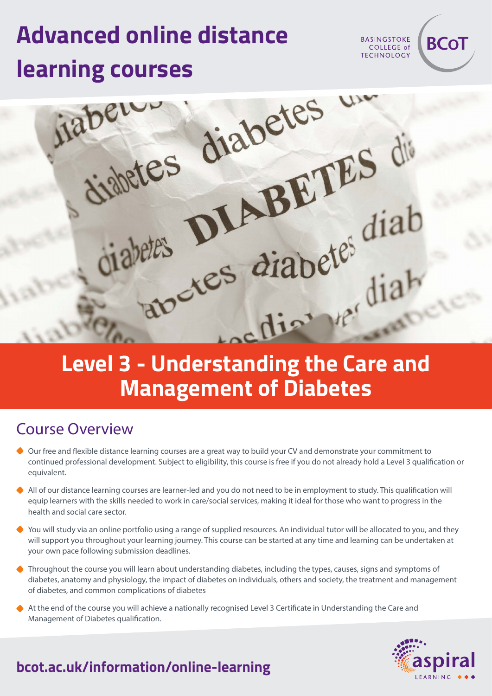# **Advanced online distance**



## **Management of Diabetes**

#### Course Overview

- Our free and flexible distance learning courses are a great way to build your CV and demonstrate your commitment to continued professional development. Subject to eligibility, this course is free if you do not already hold a Level 3 qualification or equivalent.
- All of our distance learning courses are learner-led and you do not need to be in employment to study. This qualification will equip learners with the skills needed to work in care/social services, making it ideal for those who want to progress in the health and social care sector.
- You will study via an online portfolio using a range of supplied resources. An individual tutor will be allocated to you, and they will support you throughout your learning journey. This course can be started at any time and learning can be undertaken at your own pace following submission deadlines.
- Throughout the course you will learn about understanding diabetes, including the types, causes, signs and symptoms of diabetes, anatomy and physiology, the impact of diabetes on individuals, others and society, the treatment and management of diabetes, and common complications of diabetes
- At the end of the course you will achieve a nationally recognised Level 3 Certificate in Understanding the Care and Management of Diabetes qualification.



**BCoT** 

**BASINGSTOKE** COLLEGE of **TECHNOLOGY** 

#### **bcot.ac.uk/information/online-learning**